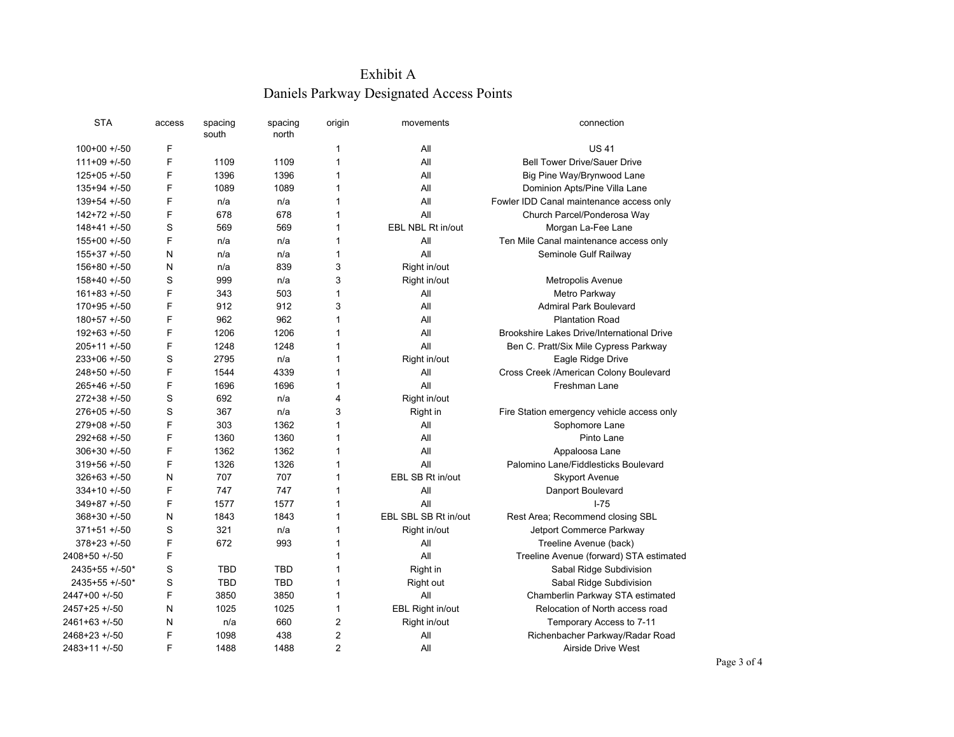## Exhibit A Daniels Parkway Designated Access Points

| <b>STA</b>      | access | spacing<br>south | spacing<br>north | origin         | movements            | connection                                 |
|-----------------|--------|------------------|------------------|----------------|----------------------|--------------------------------------------|
| $100+00+/-50$   | F      |                  |                  | 1              | All                  | <b>US41</b>                                |
| $111+09 + 50$   | F      | 1109             | 1109             | $\mathbf{1}$   | All                  | <b>Bell Tower Drive/Sauer Drive</b>        |
| $125+05+/-50$   | F      | 1396             | 1396             | 1              | All                  | Big Pine Way/Brynwood Lane                 |
| $135+94 + 50$   | F      | 1089             | 1089             | $\mathbf{1}$   | All                  | Dominion Apts/Pine Villa Lane              |
| $139 + 54 + 50$ | F      | n/a              | n/a              | 1              | All                  | Fowler IDD Canal maintenance access only   |
| $142+72+750$    | F      | 678              | 678              | 1              | All                  | Church Parcel/Ponderosa Way                |
| $148 + 41 + 50$ | S      | 569              | 569              | 1              | EBL NBL Rt in/out    | Morgan La-Fee Lane                         |
| $155+00 + 50$   | F      | n/a              | n/a              | 1              | All                  | Ten Mile Canal maintenance access only     |
| $155+37$ +/-50  | N      | n/a              | n/a              | 1              | All                  | Seminole Gulf Railway                      |
| $156+80 + 50$   | N      | n/a              | 839              | 3              | Right in/out         |                                            |
| $158+40 + 50$   | S      | 999              | n/a              | 3              | Right in/out         | Metropolis Avenue                          |
| $161+83 + 50$   | F      | 343              | 503              | $\mathbf{1}$   | All                  | Metro Parkway                              |
| $170+95 + 50$   | F      | 912              | 912              | 3              | All                  | <b>Admiral Park Boulevard</b>              |
| $180+57 + 50$   | F      | 962              | 962              | $\mathbf{1}$   | All                  | <b>Plantation Road</b>                     |
| $192+63+/-50$   | F      | 1206             | 1206             | $\mathbf{1}$   | All                  | Brookshire Lakes Drive/International Drive |
| $205+11$ +/-50  | F      | 1248             | 1248             | $\mathbf{1}$   | All                  | Ben C. Pratt/Six Mile Cypress Parkway      |
| $233+06$ +/-50  | S      | 2795             | n/a              | $\mathbf{1}$   | Right in/out         | Eagle Ridge Drive                          |
| $248+50 + 50$   | F      | 1544             | 4339             | 1              | All                  | Cross Creek / American Colony Boulevard    |
| $265+46$ +/-50  | F      | 1696             | 1696             | 1              | All                  | Freshman Lane                              |
| $272+38$ +/-50  | S      | 692              | n/a              | 4              | Right in/out         |                                            |
| $276+05 + 50$   | S      | 367              | n/a              | 3              | Right in             | Fire Station emergency vehicle access only |
| $279+08 + 50$   | F      | 303              | 1362             | 1              | All                  | Sophomore Lane                             |
| $292+68+/-50$   | F      | 1360             | 1360             | 1              | All                  | Pinto Lane                                 |
| $306+30 + 50$   | F      | 1362             | 1362             | $\mathbf{1}$   | All                  | Appaloosa Lane                             |
| $319+56 + 50$   | F      | 1326             | 1326             | 1              | All                  | Palomino Lane/Fiddlesticks Boulevard       |
| $326 + 63 + 50$ | N      | 707              | 707              | $\mathbf{1}$   | EBL SB Rt in/out     | <b>Skyport Avenue</b>                      |
| $334+10 + 50$   | F      | 747              | 747              | $\mathbf 1$    | All                  | Danport Boulevard                          |
| $349+87 + 50$   | F      | 1577             | 1577             | $\mathbf{1}$   | All                  | $1 - 75$                                   |
| $368+30 + 50$   | N      | 1843             | 1843             | $\mathbf{1}$   | EBL SBL SB Rt in/out | Rest Area; Recommend closing SBL           |
| $371 + 51 + 50$ | S      | 321              | n/a              | 1              | Right in/out         | Jetport Commerce Parkway                   |
| $378 + 23 + 50$ | F      | 672              | 993              | 1              | All                  | Treeline Avenue (back)                     |
| 2408+50 +/-50   | F      |                  |                  | $\mathbf{1}$   | All                  | Treeline Avenue (forward) STA estimated    |
| 2435+55 +/-50*  | S      | <b>TBD</b>       | <b>TBD</b>       | 1              | Right in             | Sabal Ridge Subdivision                    |
| 2435+55 +/-50*  | S      | <b>TBD</b>       | <b>TBD</b>       | 1              | <b>Right out</b>     | Sabal Ridge Subdivision                    |
| 2447+00 +/-50   | F      | 3850             | 3850             | 1              | All                  | Chamberlin Parkway STA estimated           |
| 2457+25 +/-50   | N      | 1025             | 1025             | 1              | EBL Right in/out     | Relocation of North access road            |
| 2461+63 +/-50   | N      | n/a              | 660              | $\overline{2}$ | Right in/out         | Temporary Access to 7-11                   |
| 2468+23 +/-50   | F      | 1098             | 438              | $\overline{2}$ | All                  | Richenbacher Parkway/Radar Road            |
| 2483+11 +/-50   | F      | 1488             | 1488             | $\overline{2}$ | All                  | Airside Drive West                         |
|                 |        |                  |                  |                |                      |                                            |